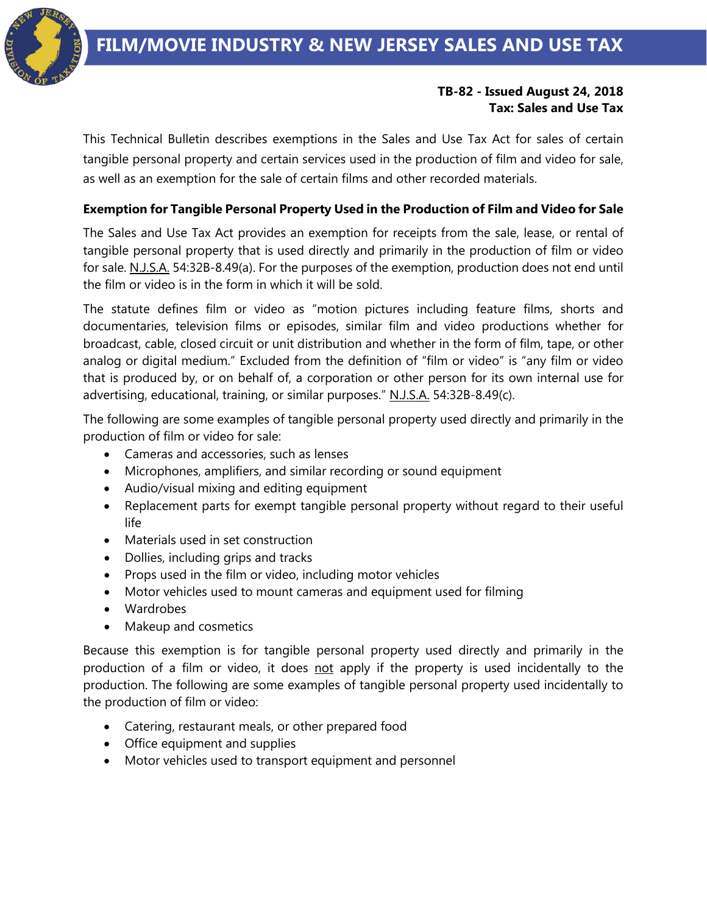## **TB-82 - Issued August 24, 2018 Tax: Sales and Use Tax**

This Technical Bulletin describes exemptions in the Sales and Use Tax Act for sales of certain tangible personal property and certain services used in the production of film and video for sale, as well as an exemption for the sale of certain films and other recorded materials.

# **Exemption for Tangible Personal Property Used in the Production of Film and Video for Sale**

The Sales and Use Tax Act provides an exemption for receipts from the sale, lease, or rental of tangible personal property that is used directly and primarily in the production of film or video for sale. N.J.S.A. 54:32B-8.49(a). For the purposes of the exemption, production does not end until the film or video is in the form in which it will be sold.

The statute defines film or video as "motion pictures including feature films, shorts and documentaries, television films or episodes, similar film and video productions whether for broadcast, cable, closed circuit or unit distribution and whether in the form of film, tape, or other analog or digital medium." Excluded from the definition of "film or video" is "any film or video that is produced by, or on behalf of, a corporation or other person for its own internal use for advertising, educational, training, or similar purposes." N.J.S.A. 54:32B-8.49(c).

The following are some examples of tangible personal property used directly and primarily in the production of film or video for sale:

- Cameras and accessories, such as lenses
- Microphones, amplifiers, and similar recording or sound equipment
- Audio/visual mixing and editing equipment
- Replacement parts for exempt tangible personal property without regard to their useful life
- Materials used in set construction
- Dollies, including grips and tracks
- Props used in the film or video, including motor vehicles
- Motor vehicles used to mount cameras and equipment used for filming
- Wardrobes
- Makeup and cosmetics

Because this exemption is for tangible personal property used directly and primarily in the production of a film or video, it does not apply if the property is used incidentally to the production. The following are some examples of tangible personal property used incidentally to the production of film or video:

- Catering, restaurant meals, or other prepared food
- Office equipment and supplies
- Motor vehicles used to transport equipment and personnel